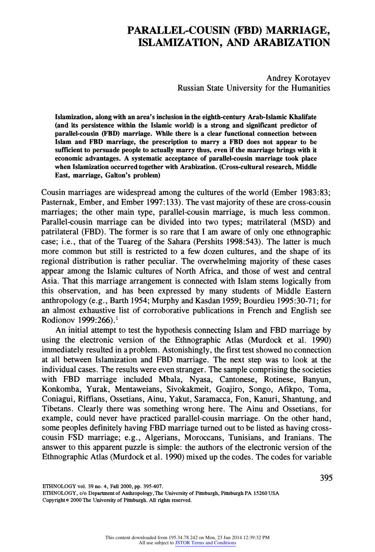# **PARALLEL-COUSIN (FBD) MARRIAGE, ISLAMIZATION, AND AR^BIZATION**

**Andrey Korotayev Russian State University for the Humanities** 

**Islamization, along with an area's inclusion in the eighth-century Arab-Islamic Khalifate**  (and its persistence within the Islamic world) is a strong and significant predictor of **parallel-cousin (FBD) marriage. While there is a clear functional connection between Islam and FBI) marriage, the prescription to marry a FBD does not appear to be**  sufficient to persuade people to actually marry thus, even if the marriage brings with it **economic advantages. A systematic acceptance of parallel-cousin marriage took place when Islamization occurred together with Arabization. (Cross-cultural research, Middle East, marriage, Galton's problem)** 

**Cousin marriages are widespread among the cultures of the world (Ember 1983:83; Pasternak, Ember, and Ember 1997:133). The vast majority of these are cross-cousin marriages; the other main type, parallel-cousin marriage, is much less common. Parallel-cousin marriage can be divided into two types; matrilateral (MSD) and patrilateral (FBD). The former is so rare that I am aware of only one ethnographic case; i.e., that of the Tuareg of the Sahara (Pershits 1998:543). The latter is much more common but still is restricted to a few dozen cultures, and the shape of its regional distribution is rather peculiar. The overwhelming majority of these cases appear among the Islamic cultures of North Africa, and those of west and central Asia. That this marriage arrangement is connected with Islam stems logically from this observation, and has been expressed by many students of Middle Eastern anthropology (e.g., Barth 1954; Murphy and Kasdan 1959; Bourdieu 1995:30-71; for an almost exhaustive list of corroborative publications in French and English see Rodionov 1999:266).1** 

An initial attempt to test the hypothesis connecting Islam and FBD marriage by **using the electronic version of the Ethnographic Atlas (Murdock et al. 1990) immediately resulted in a problem. Astonishingly, the first test showed no connection at all between Islamization and FBD marriage. The next step was to look at the individual cases. The results were even stranger. The sample comprising the societies with FBD marriage included Mbala, Nyasa, Cantonese, Rotinese, Banyun, Konkomba, Yurak, Mentaweians, Sivokakmeit, Goajiro, Songo, Aflkpo, Toma, Coniagui, Riffians, Ossetians, Ainu, Yakut, Saramacca, Fon, Kanuri, Shantung, and Tibetans. Clearly there was something wrong here. The Ainu and Ossetians, for example, could never have practiced parallel-cousin marriage. On the other hand,**  some peoples definitely having FBD marriage turned out to be listed as having cross**cousin FSD marriage; e.g., Algerians, Moroccans, Tunisians, and Iranians. The answer to this apparent puzzle is simple: the authors of the electronic version of the Ethnographic Atlas (Murdock et al. 1990) mixed up the codes. The codes for variable** 

**ETHNOLOGY vol. 39 no. 4, Fall 2000, pp. 395407.** 

**395** 

ETHNOLOGY, c/o Department of Anthropology, The University of Pittsburgh, Pittsburgh PA 15260 USA **Copyright ¢ 2000 The University of Pittsburgh. All rights reserved.**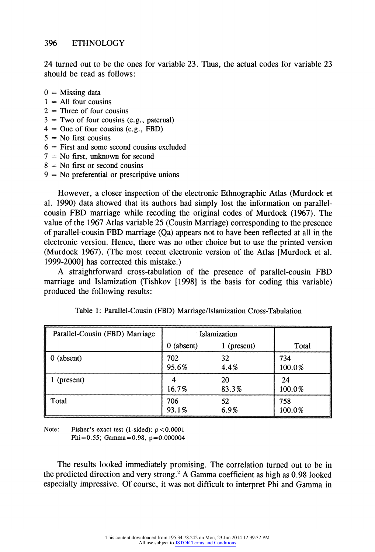**24 turned out to be the ones for variable 23. Thus, the actual codes for variable 23 should be read as follows:** 

- **O = Missing data**
- **1 = A11 four cousins**
- **2 = Three of four cousins**
- **3-Two of four cousins (e.g., paternal)**
- $4 =$ One of four cousins (e.g., FBD)
- **5-No first cousins**
- **6 = First and some second cousins excluded**
- **7 = No first, unknown for second**
- **8 No first or second cousins**
- **9 = No preferential or prescriptive unions**

**However? a closer inspection of the electronic Ethnographic Atlas (Murdock et al. 1990) data showed that its authors had simply lost the information on parallelcousin FBD marriage while recoding the original codes of Murdock (1967). The value of the 1967 Atlas variable 25 (Cousin Marriage) corresponding to the presence of parallel-cousin FBD marriage (Qa) appears not to have been reflected at all in the**  electronic version. Hence, there was no other choice but to use the printed version **(Murdock 1967). (The most recent electronic version of the Atlas [Murdock et al. 1999-2000] has corrected this mistake.)** 

**A straightforward cross-tabulation of the presence of parallel-cousin FBD marriage and Islamization (Tishkov [1998] is the basis for coding this variable) produced the following results:** 

| Parallel-Cousin (FBD) Marriage | Islamization  |             |               |
|--------------------------------|---------------|-------------|---------------|
|                                | (absent)<br>0 | 1 (present) | Total         |
| $0$ (absent)                   | 702<br>95.6%  | 32<br>4.4%  | 734<br>100.0% |
| (present)                      | 16.7%         | 20<br>83.3% | 24<br>100.0%  |
| Total                          | 706<br>93.1%  | 52<br>6.9%  | 758<br>100.0% |

Table 1: Parallel-Cousin (FBD) Marriage/Islamization Cross-Tabulation

Note: Fisher's exact test (1-sided):  $p < 0.0001$ **Phi =0.55; Gamma =0.98, p =0.000004** 

**The results looked immediately promising. The correlation turned out to be in the predicted direction and very strong.2 A Gamma coefficient as high as 0.98 looked especially impressive. Of course, it was not difficult to interpret Phi and Gamma in**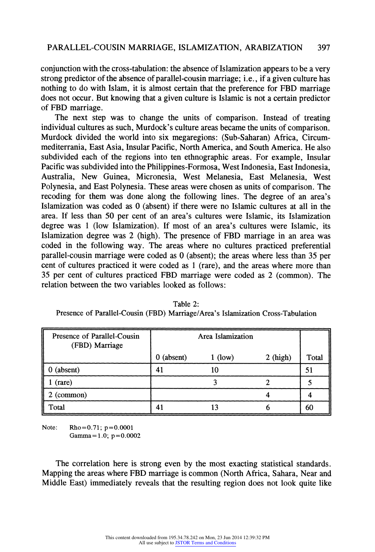**conjunction with the cross-tabulation: the absence of Islamization appears to be a very strong predictor of the absence of parallel-cousin marriage; i.e., if a given culture has nothing to do with Islam it is almost certain that the preference for FBD marriage does not occur. But knowing that a given culture is Islamic is not a certain predictor of FBD marriage.** 

**The next step was to change the units of comparison. Instead of treating**  individual cultures as such, Murdock's culture areas became the units of comparison. **Murdock divided the world into six megaregions: (Sub-Saharan) Africa, Circum**mediterrania, East Asia, Insular Pacific, North America, and South America. He also **subdivided each of the regions into ten ethnographic areas. For example, Insular Pacific was subdivided into the Philippines-Formosa, West Indonesia, East Indonesia, Australia, New Guinea, Micronesia, West Melanesia, East Melanesia, West Polynesia, and East Polynesia. These areas were chosen as units of comparison. The recoding for them was done along the following lines. The degree of an area's**  Islamization was coded as 0 (absent) if there were no Islamic cultures at all in the **area. If less than 50 per cent of an area's cultures were Islamic, its Islamization degree was 1 (low Islamization). If most of an area's cultures were Islamic, its Islamization degree was 2 (high). The presence of FBD marriage in an area was coded in the following way. The areas where no cultures practiced preferential parallel-cousin marriage were coded as O (absent); the areas where less than 35 per cent of cultures practiced it were coded as 1 (rare), and the areas where more than 35 per cent of cultures practiced FBD marriage were coded as 2 (common). The relation between the two variables looked as follows:** 

| Presence of Parallel-Cousin<br>(FBD) Marriage | Area Islamization |           |            |       |
|-----------------------------------------------|-------------------|-----------|------------|-------|
|                                               | $0$ (absent)      | $1$ (low) | $2$ (high) | Total |
| $0$ (absent)                                  | 41                | 10        |            | 51    |
| $1$ (rare)                                    |                   |           |            |       |
| 2 (common)                                    |                   |           |            |       |
| Total                                         | 41                | 13        |            | 60    |

**Table 2:**  Presence of Parallel-Cousin (FBD) Marriage/Area's Islamization Cross-Tabulation

**Note: Rho=0.71; p=0.0001 Gamma=l.0; p=0.0002** 

**The correlation here is strong even by the most exacting statistical standards. Mapping the areas where FBD marriage is common (North Africa, Sahara, Near and Middle East) immediately reveals that the resulting region does not look quite like**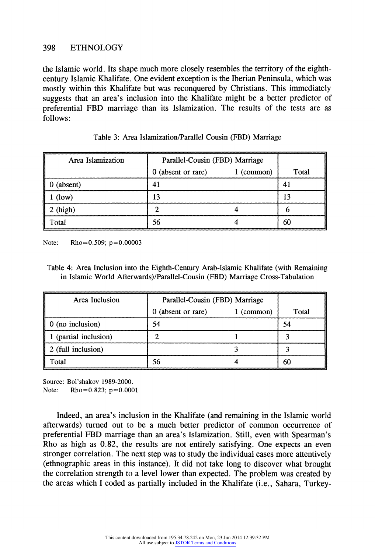# **398 ETHNOLOGY**

**the Islamic world. Its shape much more closely resembles the territory of the eighthcentury Islamic Khalifate. One evident exception is the Iberian Peninsula, which was mostly within this Khalifate but was reconquered by Christians. This immediately suggests that an area's inclusion into the Khalifate might be a better predictor of preferential FBD marriage than its Islamization. The results of the tests are as follows:** 

| Area Islamization | Parallel-Cousin (FBD) Marriage |            |       |
|-------------------|--------------------------------|------------|-------|
|                   | (absent or rare)<br>0          | 1 (common) | Total |
| $0$ (absent)      | 41                             |            | 41    |
| $1$ (low)         | 13                             |            | 13    |
| $2$ (high)        |                                |            |       |
| Total             | 56                             |            | 60    |

|  |  | Table 3: Area Islamization/Parallel Cousin (FBD) Marriage |  |  |  |  |
|--|--|-----------------------------------------------------------|--|--|--|--|
|--|--|-----------------------------------------------------------|--|--|--|--|

Note: Rho =  $0.509$ ; p =  $0.00003$ 

**Table 4: Area Inclusion into the Eighth-Century Arab-Islamic Khalifate (with Remaining in Islamic World Afterwards)/Parallel-Cousin (FBD) Marriage Cross-Tabulation** 

| Area Inclusion           | Parallel-Cousin (FBD) Marriage |            |       |
|--------------------------|--------------------------------|------------|-------|
|                          | 0 (absent or rare)             | 1 (common) | Total |
| $\vert$ 0 (no inclusion) | 54                             |            | 54    |
| (partial inclusion)      |                                |            |       |
| 2 (full inclusion)       |                                |            |       |
| Total                    | 56                             |            | 60    |

**Source: Bol'shakov 1989-2000. Note: Rho=0.823; p=0.0001** 

Indeed, an area's inclusion in the Khalifate (and remaining in the Islamic world **afterwards) turned out to be a much better predictor of common occurrence of preferential FBD marriage than an area's Islamization. Still, even with Spearman's Rho as high as 0.82, the results are not entirely satisfying. One expects an even stronger correlation. The next step was to study the individual cases more attentively (ethnographic areas in this instance). It did not take long to discover what brought the correlation strength to a level lower than expected. The problem was created by the areas which I coded as partially included in the Khalifate (i.e., Sahara, Turkey-**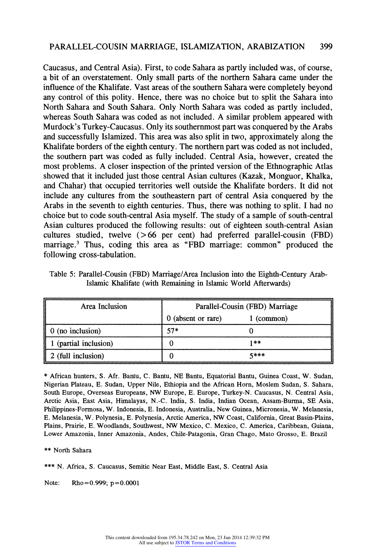## **PARALLEL-COUSIN MARRIAGE, ISLAMIZATION, ARABIZATION 399**

**Caucasus, and Central Asia). First, to code Sahara as partly included was, of course, a bit of an overstatement. Only small parts of the northern Sahara came under the influence of the Khalifate. Vast areas of the southern Sahara were completely beyond** any control of this polity. Hence, there was no choice but to split the Sahara into **North Sahara and South Sahara. Only North Sahara was coded as partly included, whereas South Sahara was coded as not included. A similar problem appeared with Murdock's Turkey-Caucasus. Only its southernmost part was conquered by the Arabs and successfully Islamized. This area was also split in two, approximately along the**  Khalifate borders of the eighth century. The northern part was coded as not included, **the southern part was coded as fully included. Central Asia however, created the most problems. A closer inspection of the printed version of the Ethnographic Atlas**  showed that it included just those central Asian cultures (Kazak, Monguor, Khalka, **and Chahar) that occupied territories well outside the Khalifate borders. It did not include any cultures from the southeastern part of central Asia conquered by the**  Arabs in the seventh to eighth centuries. Thus, there was nothing to split. I had no **choice but to code south-central Asia myself. The study of a sample of south-central**  Asian cultures produced the following results: out of eighteen south-central Asian **cultures studied, twelve ( > 66 per cent) had preferred parallel-cousin (FBD)**  marriage.<sup>3</sup> Thus, coding this area as "FBD marriage: common" produced the **following cross-tabulation.** 

| Area Inclusion      | Parallel-Cousin (FBD) Marriage |            |
|---------------------|--------------------------------|------------|
|                     | 0 (absent or rare)             | 1 (common) |
| 0 (no inclusion)    | $57*$                          |            |
| (partial inclusion) |                                | 1**        |
| 2 (full inclusion)  |                                | 5***       |

**Table 5: Parallel-Cousin (FBD) Marriage/Area Inclusion into the Eighth-Century Arab-Islamic Khalifate (with Remaining in Islamic World Afterwards)** 

**\* African hunters, S. Afr. Bantu, C. Bantu, NE Bantu, Equatorial Bantu, Guinea Coast, W. Sudan,**  Nigerian Plateau, E. Sudan, Upper Nile, Ethiopia and the African Horn, Moslem Sudan, S. Sahara, South Europe, Overseas Europeans, NW Europe, E. Europe, Turkey-N. Caucasus, N. Central Asia, **Arctic Asia, East Asia, Himalayas, N-C. India, S. India, Indian Ocean, Assam-Burma, SE Asia, Philippines-Pormosa, W. lndonesia, E. Indonesia, Australia, New Guinea, Micronesia, W. Melanesia, E. Melanesia, W. Polynesia, E. Polynesia, Arctic America, NW Coast, California, Great Basin-Plains,**  Plains, Prairie, E. Woodlands, Southwest, NW Mexico, C. Mexico, C. America, Caribbean, Guiana, **Lower Amazonia, Inner Amazonia, Andes, Chile-Patagonia, Gran Chago, Mato Grosso, E. Brazil** 

**\*\* North Sahara** 

**\*\*\* N. Africa, S. Caucasus, Semitic Near East, Middle East, S. Central Asia** 

Note: Rho=0.999; p=0.0001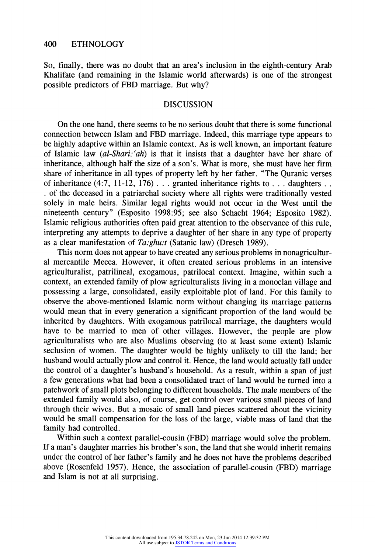**So, finally, there was no doubt that an area's inclusion in the eighth-century Arab Khalifate (and remaining in the Islamic world afterwards) is one of the strongest possible predictors of FBD marriage. But why?** 

#### **DISCUSSION**

**On the one hand, there seems to be no serious doubt that there is some functional connection between Islam and FBD marriage. Indeed, this marriage type appears to be highly adaptive within an Islamic context. As is well known an important feature of Islamic law (al-Shari:'ah) is that it insists that a daughter have her share of inheritance, although half the size of a son's. What is more she must have her firm share of inheritance in all types of property left by her father. The Quranic verses**  of inheritance  $(4:7, 11-12, 176)$ ... granted inheritance rights to ... daughters ... **. of the deceased in a patriarchal society where all rights were traditionally vested solely in male heirs. Similar legal rights would not occur in the West until the nineteenth century" (Esposito 1998:95; see also Schacht 1964; Esposito 1982). Islamic religious authorities often paid great attention to the observance of this rule, interpreting any attempts to deprive a daughter of her share in any type of property as a clear manifestation of Ta:ghu:t (Satanic law) (Dresch 1989).** 

**This norm does not appear to have created any serious problems in nonagricultural mercantile Mecca. However, it often created serious problems in an intensive agriculturalist, patrilineal, exogamous, patrilocal context. Imagine, within such a context, an extended family of plow agriculturalists living in a monoclan village and**  possessing a large, consolidated, easily exploitable plot of land. For this family to **observe the above-mentioned Islamic norm without changing its marriage patterns would mean that in every generation a significant proportion of the land would be**  inherited by daughters. With exogamous patrilocal marriage, the daughters would **have to be married to men of other villages. However, the people are plow agriculturalists who are also Muslims observing (to at least some extent) Islamic seclusion of women. The daughter would be highly unlikely to till the land; her husband would actually plow and control it. Hence, the land would actually fall under the control of a daughter's husband's household. As a result, within a span of just a few generations what had been a consolidated tract of land would be turned into a patchwork of small plots belonging to different households. The male members of the extended family would also, of course, get control over various small pieces of land through their wives. But a mosaic of small land pieces scattered about the vicinity would be small compensation for the loss of the large, viable mass of land that the family had controlled.** 

**Within such a context parallel-cousin (FBD) marriage would solve the problem. If a man?s daughter marries his brother'son, the land that she would inherit remains**  under the control of her father's family and he does not have the problems described **above (Rosenfeld 1957). Hence, the association of parallel-cousin (FBD) marriage and Islam is not at all surprising.**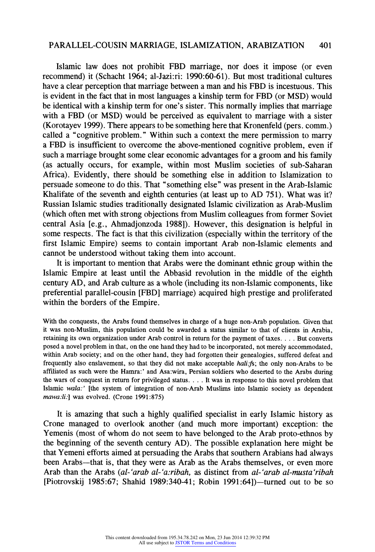#### **PARALLEL-COUSIN MARRIAGE, ISLAMIZATION, ARABIZATION**  401

**<sup>401</sup>Islamic law does not prohibit FBD marriage, nor does it impose (or even recommend) it (Schacht 1964; al-Jazi:ri: 1990:60-61). But most traditional cultures have a clear perception that marriage between a man and his FBD is incestuous. This is evident in the fact that in most languages a kinship term for FBD (or MSD) would be identical with a kinship term for one's sister. This normally implies that marriage**  with a FBD (or MSD) would be perceived as equivalent to marriage with a sister **(Korotayev 1999). There appears to be something here that Kronenfeld (pers. comm.)**  called a "cognitive problem." Within such a context the mere permission to marry **a FBD is insufficient o overcome the above-mentioned cognitive problem, even if such a marriage brought some clear economic advantages for a groom and his family (as actually occurs, for example, within most Muslim societies of sub-Saharan Africa). Evidently, there should be something else in addition to Islamization to persuade someone to do this. That "something else" was present in the Arab-Islamic Khalifate of the seventh and eighth centuries (at least up to AD 751). What was it? Russian Islamic studies traditionally designated Islamic civilization as Arab-Muslim (which often met with strong objections from Muslim colleagues ffom former Soviet central Asia [e.g., Ahmadjonzoda 1988]). However, this designation is helpfill in**  some respects. The fact is that this civilization (especially within the territory of the first Islamic Empire) seems to contain important Arab non-Islamic elements and **cannot be understood without taking them into account.** 

**It is important to mention that Arabs were the dominant ethnic group within the Islamic Empire at least until the Abbasid revolution in the middle of the eighth**  century AD, and Arab culture as a whole (including its non-Islamic components, like **preferential parallel-cousin [FBD] marriage) acquired high prestige and proliferated within the borders of the Empire.** 

**With the conquests, the Arabs found themselves in charge of a huge non-Arab population. Given that it was non-Muslim, this population could be awarded a status similar to that of clients in Arabia, retaining its own organization under Arab control in return for the payment of taxes.... But converts posed a novel problem in that, on the one hand they had to be incorporated, not merely accommodated, within Arab society; and on the other hand, they had forgotten their genealogies, suffered defeat and frequently also enslavement, so that they did not make acceptable hali.fs; the only non-Arabs to be afElliated as such were the Hamra:' and Asa:wira, Persian soldiers who deserted to the Arabs during the wars of conquest in return for privileged status.... It was in response to this novel problem that Islamic wala:' lthe system of integration of non-Arab Muslims into Islamic society as dependent mawa:li:] was evolved. (Crone 1991:875)** 

**It is amazing that such a highly qualified specialist in early Islamic history as Crone managed to overlook another (and much more important) exception: the Yemenis (most of whom do not seem to have belonged to the Arab proto-ethnos by the beginning of the seventh century AD). The possible explanation here might be that Yemeni efforts aimed at persuading the Arabs that southern Arabians had always**  been Arabs—that is, that they were as Arab as the Arabs themselves, or even more Arab than the Arabs (al-'arab al-'a:ribah, as distinct from al-'arab al-musta'ribah **[Piotrovski; 1985:67; Shahid 1989:340-41; Robin 1991:64])-turned out to be so**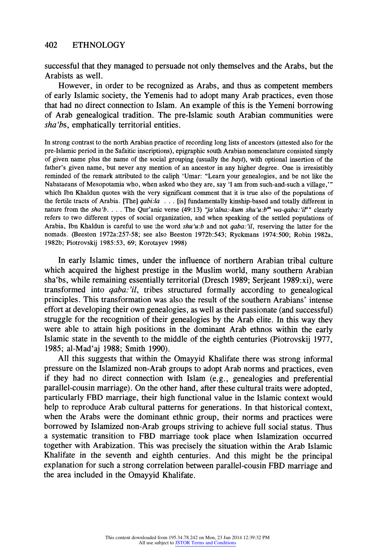**successful that they managed to persuade not only themselves and the Arabs, but the Arabists as well.** 

**However, in order to be recognized as Arabs, and thus as competent members of early Islamic society, the Yemenis had to adopt many Arab practices, even those that had no direct connection to Islam. An example of this is the Yemeni borrowing**  of Arab genealogical tradition. The pre-Islamic south Arabian communities were sha'bs, emphatically territorial entities.

**In strong contrast to the north Arabian practice of recording long lists of ancestors (attested also for the pre-Islamic period in the Safaitic inscriptions), epigraphic south Arabian nomenclature consisted simply of given name plus the name of the social grouping (usually the bayt), with optional insertion of the**  father's given name, but never any mention of an ancestor in any higher degree. One is irresistibly reminded of the remark attributed to the caliph 'Umar: "Learn your genealogies, and be not like the Nabataeans of Mesopotamia who, when asked who they are, say 'I am from such-and-such a village,'" which Ibn Khaldun quotes with the very significant comment that it is true also of the populations of the fertile tracts of Arabia. [The] *qabi:la...* [is] *fundamentally kinship-based and totally different in* **nature from the sha'b....** The Qur'anic verse (49:13) "*ja'alna:-kum shu'u:b*<sup>m</sup> wa-qaba:'iP" clearly refers to two different types of social organization, and when speaking of the settled populations of Arabia, Ibn Khaldun is careful to use the word  $shu'u:b$  and not *qaba*:'il, reserving the latter for the **nomads. (Beeston 1972a:257-58; see also Beeston 1972b:543; Ryckmans 1974:500; Robin 1982a, 1982b; Piotrovskij 1985:53, 69; Korotayev 1998)** 

**In early Islamic times, under the influence of northern Arabian tribal culture which acquired the highest prestige in the Muslim world, many southern Arabian sha'bs? while remaining essentially territorial (Dresch 1989; Serjeant 1989:xi), were transformed into qaba:2il, tribes structured formally according to genealogical principles. This transformation was also the result of the southern Arabians' intense effort at developing their own genealogies, as well as their passionate (and successful)**  struggle for the recognition of their genealogies by the Arab elite. In this way they **were able to attain high positions in the dominant Arab ethnos within the early Islamic state in the seventh to the middle of the eighth centuries (Piotrovskij 1977, 1985; al-Mad'aj 1988; Smith 1990).** 

All this suggests that within the Omayyid Khalifate there was strong informal pressure on the Islamized non-Arab groups to adopt Arab norms and practices, even **if they had no direct connection with Islam (e.g., genealogies and preferential parallel-cousin marriage). On the other hand, after these cultural traits were adopted, particularly FBD marrzage, their high functional value in the Islamic context would help to reproduce Arab cultural patterns for generations. In that historical context, when the Arabs were the dominant ethnic group, their norms and practices were borrowed by Islamized non-Arab groups striving to achieve full social status. Thus a systematic transition to FBD marriage took place when Islamization occurred together with Arabization. This was precisely the situation within the Arab Islamic Khalifate in the seventh and eighth centuries. And this might be the principal explanation for such a strong correlation between paralle]-cousin FBD marriage and the area included in the Omayyid Khalifate.**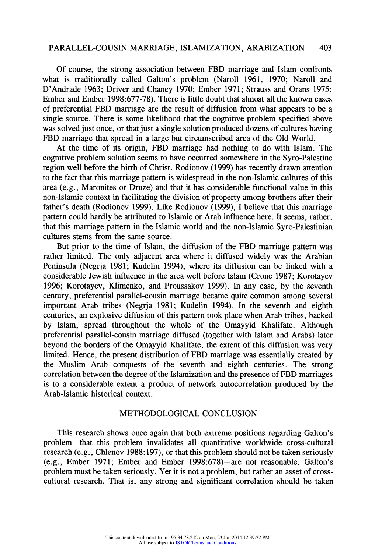**Of course, the strong association between FBD marriage and Islam confronts what is traditionally called Galton's problem (Naroll 1961, 1970; Naroll and D'Andrade 1963; Driver and Chaney 1970; Ember 1971; Strauss and Orans 1975; Ember and Ember 1998:677-78). There is little doubt that almost all the known cases of preferential FBD marriage are the result of diffusion from what appears to be a single source. There is some likelihood that the cognitive problem specified above was solved just once, or that just a single solution produced dozens of cultures having FBD marriage that spread in a large but circumscribed area of the Old World.** 

**At the time of its origin, FBD marriage had nothing to do with Islam. The cognitive problem solution seems to have occurred somewhere in the Syro-Palestine region well before the birth of Christ. Rodionov (1999) has recently drawn attention**  to the fact that this marriage pattern is widespread in the non-Islamic cultures of this **area (e.g., Maronites or Druze) and that it has considerable functional value in this non-Islamic ontext in facilitating the division of property among brothers after their father's death (Rodionov 1999). Like Rodionov (1999), I believe that this marriage**  pattern could hardly be attributed to Islamic or Arab influence here. It seems, rather, **that this marriage pattern in the Islamic world and the non-Islamic Syro-Palestinian cultures stems from the same source.** 

**But prior to the time of Islam, the diffusion of the FBD marriage pattern was rather limited. The only adjacent area where it diffused widely was the Arabian Peninsula (Negrja 1981; Kudelin l994), where its diffusion can be linked with a considerable Jewish influence in the area well before Islam (Crone 1987; Korotayev 1996; Korotayev, Klimenko, and Proussakov 1999). In any case, by the seventh century, preferential parallel-cousin marriage became quite common among several important Arab tribes (Negrja 1981; Kudelin 1994). In the seventh and eighth**  centuries, an explosive diffusion of this pattern took place when Arab tribes, backed **by Islam, spread throughout the whole of the Omayyid Khalifate. Although preferential parallel-cousin marriage diffused (together with Islam and Arabs) later beyond the borders of the Omayyid Khalifate, the extent of this diiffusion was very limited. Hence, the present distribution of FBD marriage was essentially created by the Muslim Arab conquests of the seventh and eighth centuries. The strong correlation between the degree of the Islamization and the presence of FBD marriages is to a considerable extent a product of network autocorrelation produced by the Arab-Islamic historical context.** 

### **METHODOLOGICAL CONCLUSION**

**This research shows once again that both extreme positions regarding Galton's problem that this problem invalidates all quantitative worldwide cross-cultural research (e.g., Chlenov 1988: 197), or that this problem should not be taken seriously (e.g., Ember 1971; Ember and Ember 1998:678) are not reasonable. Galton's problem must be taken seriously. Yet it is not a problem, but rather an asset of crosscultural research. That is, any strong and significant correlation should be taken**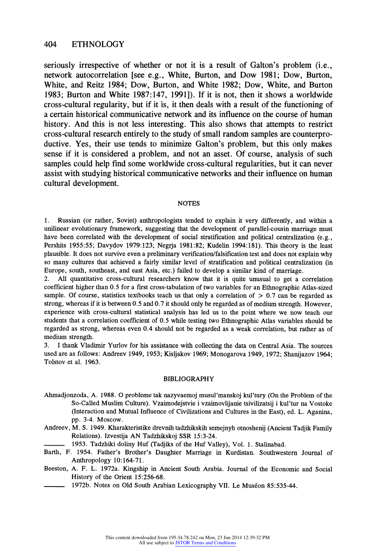#### **404 ETHNOLOGY**

**seriously irrespective of whether or not it is a result of Galton's problem (i.e., network autocorrelation [see e.g., White, Burton, and Dow 1981; Dow, Burton, White, md Reitz 1984; Dow, Burton, and White 1982; Dow, White, and Burton 1983; Burton and White 1987: 147, 1991]). If it is not, then it shows a worldwide cross-cultural regvlarity but if it is, it then deals with a result of the functioning of a certain historical communicative network axld its influence on the course of human history. And this is not less interesting. This also shows that attempts to restrict cross-cultural research entirely to the study of small random samples are counterproductive. Yes, their use tends to minimize Galton's problem, but this only makes sense if it is considered a problem, and not an asset. Of course, analysis of such samples could help find some worldwide cross-cultural regularities, but it can never assist with studying historical communicative networks and their influence on human cultural development.** 

#### **NOTES**

1. Russian (or rather, Soviet) anthropologists tended to explain it very differently, and within a **unilinear evolutionary framework, suggesting that the development of parallel-cousin marriage must have been correlated with the development of social stratification and political centralization (e.g.,**  Pershits 1955:55; Davydov 1979:123; Negrja 1981:82; Kudelin 1994:181). This theory is the least **plausible. It does not survive even a preliminary verification/falsification test and does not explain why**  so many cultures that achieved a fairly similar level of stratification and political centralization (in **Europe, south, southeast, and east Asia, etc.) failed to develop a similar kind of marriage** 

**2. All quantitative cross-cultural researchers know that it is quite unusual to get a correlation**  coefficient higher than 0.5 for a first cross-tabulation of two variables for an Ethnographic Atlas-sized **sample. Of course, statistics textbooks teach us that only a correlation of > 0.7 can be regarded as strong, whereas if it is between 0.5 and 0.7 it should only be regarded as of medium strength. However, experience with cross-cultural statistical analysis has led us to the point where we now teach our students that a correlation coefficient of 0.5 while testing two Ethnographic Atlas variables should be regarded as strong, whereas even 0.4 should not be regarded as a weak correlation, but rather as of medium strength.** 

3. I thank Vladimir Yurlov for his assistance with collecting the data on Central Asia. The sources **used are as follows: Andreev 1949, 1953; Kisyakov 1969; Monogarova 1949, 1972; Shanijazov 1964; Tolstov et al. 1963** 

#### **BIBLIOGRAPHY**

- **Ahmadjonzoda, A. 1988. O probleme tak nazyvaemoj musul'manskoj kul'tury (On the Problem of the So-Called Muslim Culture). Vzaimodejstvie i vzaimovlijanie tsivilizatsij i kul'tur na Vostoke**  (Interaction and Mutual Influence of Civilizations and Cultures in the East), ed. L. Aganina, **pp. 3-4. Moscow.**
- **Andreev, M. S. 1949. Kharakteristike drevnih tadzhikskih semejnyh otnoshenij (Ancient Tadjik Family Relations). Izvestija AN Tadzhikskoj SSR 15:3-24.** 
	- **1953. Tadzhiki doliy Huf (Tadjiks of the Huf Valley), Vol. 1. Stalinabad.**
- Barth, F. 1954. Father's Brother's Daughter Marriage in Kurdistan. Southwestern Journal of **Anthropology 10:164-71.**
- Beeston, A. F. L. 1972a. Kingship in Ancient South Arabia. Journal of the Economic and Social **History of the Orient 15:256-68.** 
	- **1972b. Notes on Old South Arabian Lexicography VII. Le Museon 85:535-44.**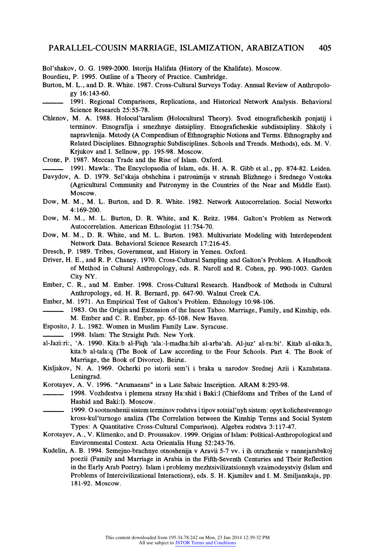**Bol'shakov, O. G. 1989-2000. Istorija Halifata (History of the Khalifate). Moscow.** 

**Bourdieu, P. 1995. Outline of a Theory of Practice. Cambridge.** 

- **Burton, M. L., and D. R. White. 1987. Cross-Cultural Surveys Today. Annual Review of Anthropology 16:143-60.**
- **1991. Regional Comparisons, Replications, and Historical Network Analysis. Behavioral Science Research 25:55-78.**
- **Chlenov, M. A. 1988. Holocul'taralism (Holocultural Theory). Svod etnograficheskh ponjatij i terminov. Etnografija i smezhnye distsipliny. Etnograficheskie subdistsipliny. Shkoly i napravlenija. Metody (A Compendium of Ethnographic Notions and Terms. Ethnography and Related Disciplines. Ethnographic Subdisciplines. Schools and Trends. Methods), eds. M. V.**  Krjukov and I. Sellnow, pp. 195-98. Moscow.
- **Crone, P. 1987. Meccan Trade and the Rise of Islam. Oxford.**
- **1991. Mawla:. The Encyclopaedia of Islam, eds. H. A. R. Gibb et al., pp. 874-82. Leiden.**  Davydov, A. D. 1979. Sel'skaja obshchina i patronimija v stranah Blizhnego i Srednego Vostoka **(Agricultural Community and Patronymy in the Countries of the Near and Middle East). Moscow.**
- **Dow, M. M., M. L. Burton, and D. R. White. 1982. Network Autocorrelation. Social Networks 4: 169-200.**
- Dow, M. M., M. L. Burton, D. R. White, and K. Reitz. 1984. Galton's Problem as Network **Autocorrelation. American Ethnologist 11:754-70.**
- **Dow, M. M., D. R. VVhite, and M. L. Burton. 1983. Multivariate Modeling with Interdependent Network Data. Behavioral Science Research 17:216-45.**
- **Dresch, P. 1989. Tribes, Government, and History in Yemen. Oxford.**
- **Driver, H. E., and R. P. Chaney. 1970. Cross-Cultural Sampling and Galton's Problem. A Handbook of Method in Cultural Anthropology, eds. R. Naroll and R. Cohen, pp. 990-1003. Garden City NY.**
- **Ember, C. R., and M. Ember. 1998. Cross-Cultural Research. Handbook of Methods in Cultural Anthropology, ed. H. R. Bernard, pp. 647-90. Walnut Creek CA.**
- **Ember, M. 1971. An Empirical Test of Galton's Problem. Ethnology 10:98-106.** 
	- **1983. On the Origin and Extension of the Incest Taboo. Marriage, Family, and Kinship, eds. M. Ember and C. R. Ember, pp. 65-108. New Haven.**
- **Esposito, J. L. 1982. Women in Muslim Family Law. Syracuse.**
- **1998. Islam: The Straight Path. New York.**
- al-Jazi:ri:, 'A. 1990. Kita:b al-Fiqh 'ala:-l-madha:hib al-arba'ah. Al-juz' al-ra:bi'. Kitab al-nika:h, **kita:b al-tala:q (The Book of Law according to the Four Schools. Part 4. The Book of Marriage, the Book of Divorce). Beirut.**
- Kisljakov, N. A. 1969. Ocherki po istorii sem'i i braka u narodov Srednej Azii i Kazahstana. **Leningrad.**
- **Korotayev, A. V. 1996. "Aramaeans" in a Late Sabaic Inscription. ARAM 8:293-98.**
- **1998. Vozhdestva i plemena strany Ha:shid i Baki:l (Chiefdoms and Tribes of the Land of Hashid and Baki:l). Moscow.**
- **1999. 0 sootnoshenii sistem terminov rodstva i tipov sotsial'nyh sistem: opyt kolichestvennogo kross-kul'turnogo analiza (The Correlation between the Kinship Terms and Social System Types: A Quantitative Cross-Cultural Comparison). Algebra rodstva 3:117-47.**
- **Korotayev, A., V. Klimenko, and D. Proussakov. 1999. Origins of Islam: Political-Anthropological and**  Environmental Context. Acta Orientalia Hung 52:243-76.
- **Kudelin, A. B. 1994. Semejno-brachnye otnoshenija v Aravii 5-7 w. i ih otrazhenie v rannejarabskoj poezii (Pamily and Marriage in Arabia in the Fifth-Seventh Centuries and Their Reflection in the Early Arab Poetry). Islam i problemy mezhtsivilizatsionnyh vzaimodeystviy (Islam and Problems of Intercivilizational Interactions), eds. S. H. Kjamilev and I. M. Smiljanskaja, pp. 181-92. Moscow.**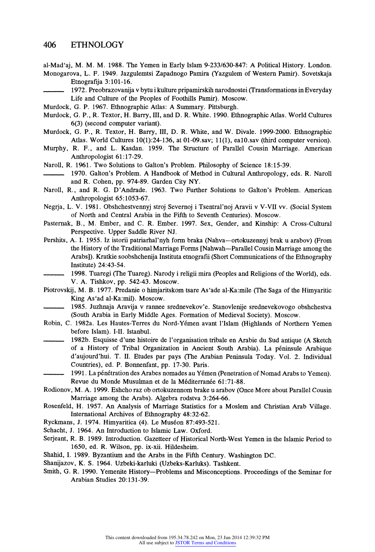**al-Mad'aj, M. M. M. 1988. The Yemen in Early Islam 9-233/630-847: A Political History. London.** 

**Monogarova, L. F. 1949. Jazgulemtsi Zapadnogo Pamira (Yazgulem of Western Pamir). Sovetskaja Etnografija 3:101-16.** 

**1972. Preobrazovanija v bytu ikulture pripamirskih narodnostei ¢Transformations inEveryday Life and Culture of the Peoples of Poothills Pamir). Moscow.** 

**Murdock, G. P. 1967. Ethnographic Atlas: A Summary. Pittsburgh.** 

- **Murdock, G. P., R. Textor, H. Barry, III, and D. R. White. 1990. Ethnographic Atlas. World Cultures 6(3) (second computer variant).**
- Murdock, G. P., R. Textor, H. Barry, III, D. R. White, and W. Divale. 1999-2000. Ethnographic **Atlas. World Cultures 10(1):24-136, at 01-09.sav; 11(1), ealO.sav (third computer version).**
- Murphy, R. F., and L. Kasdan. 1959. The Structure of Parallel Cousin Marriage. American **Anthropologist 61:17-29.**
- Naroll, R. 1961. Two Solutions to Galton's Problem. Philosophy of Science 18:15-39.
- **1970. Galton's Problem. A Handbook of Method in Cultural Anthropology, eds. R. Naroll and R. Cohen, pp. 974-89. Garden City NY.**
- Naroll, R., and R. G. D'Andrade. 1963. Two Further Solutions to Galton's Problem. American **Anthropologist 65:1053-67.**
- Negrja, L. V. 1981. Obshchestvennyj stroj Severnoj i Tsentral'noj Aravii v V-VII vv. (Social System **of North and Central Arabia in the Pifth to Seventh Centuries). Moscow.**
- **Pasternak, B., M. Ember, and C. R. Ember. 1997. Sex, Gender, and Kinship: A Cross-Cultural Perspective. Upper Saddle River NJ.**
- Pershits, A. I. 1955. Iz istorii patriarhal'nyh form braka (Nahva-ortokuzennyj brak u arabov) (From the History of the Traditional Marriage Forms [Nahwah--Parallel Cousin Marriage among the Arabs]). Kratkie soobshchenija Instituta etnografii (Short Communications of the Ethnography **Institute) 24:43-54.** 
	- **1998. Tuaregi (The Tuareg). Narody i religii mira (Peoples and Religions of the World), eds. V. A. Tishkov, pp. 542-43. Moscow.**
- **Piotrovskij M. B. 1977. Predanie o himjaritskom tsare As'ade al-Ka:mile (The Saga of the Himyaritic King As'ad al-Ka:mil). Moscow.**
- **1985. Ju7hnaja Aravija v rannee srednevekov'e. Stanovlenije srednevekovogo obshchestva (South Arabia in Early Middle Ages. Formation of Medieval Society). Moscow.**
- **Robin, C. 1982a. Les Hautes-Terres du Nord-Yemen avant l'Islam (Highlands of Northern Yemen before Islam). I-II. Istanbul.** 
	- 1982b. Esquisse d'une histoire de l'organisation tribale en Arabie du Sud antique (A Sketch of a History of Tribal Organization in Ancient South Arabia). La péninsule Arabique **d'aujourd'hui. T. II. Etudes par pays (The Arabian Peninsula Today. Vol. 2. Individual Countries), ed. P. Bonnenfant, pp. 17-30. Paris.**
- 1991. La pénétration des Arabes nomades au Yémen (Penetration of Nomad Arabs to Yemen). Revue du Monde Musulman et de la Méditerranée 61:71-88.
- Rodionov, M. A. 1999. Eshcho raz ob ortokuzennom brake u arabov (Once More about Parallel Cousin **WIarriage among the Arabs). Algebra rodstva 3:264-66.**
- Rosenfeld, H. 1957. An Analysis of Marriage Statistics for a Moslem and Christian Arab Village. **International Archives of Ethnography 48:32-62.**
- **Ryckmans, J. 1974. Himyaritica (4). Le Museon 87:493-521.**
- **Schacht, J. 1964. An Introduction to Islamic Law. Oxford.**
- Serjeant, R. B. 1989. Introduction. Gazetteer of Historical North-West Yemen in the Islamic Period to **1650, ed. R. Wilson, pp. ix-xii. Hildesheim.**
- **Shahid, I. 1989. Byzantium and the Arabs in the Fifth Century. Washington DC.**
- **Shanijazov, K. S. 1964. Uzbeki-karluki (Uzbeks-Karluks). Tashkent.**
- **Smith, G. R. 1990. Yemenite History-Problems and Misconceptions. Proceedings of the Seminar for Arabian Studies 20:131-39.**